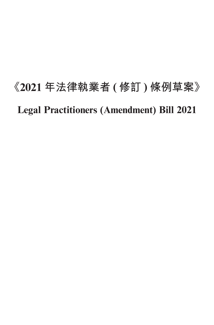# **《2021 年法律執業者 ( 修訂 ) 條例草案》 Legal Practitioners (Amendment) Bill 2021**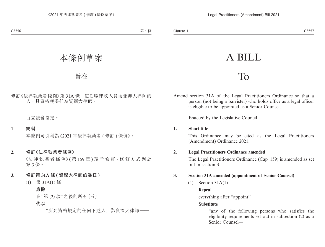## A BILL

### To

Amend section 31A of the Legal Practitioners Ordinance so that a person (not being a barrister) who holds office as a legal officer is eligible to be appointed as a Senior Counsel.

Enacted by the Legislative Council.

#### **1. Short title**

This Ordinance may be cited as the Legal Practitioners (Amendment) Ordinance 2021.

#### **2. Legal Practitioners Ordinance amended**

The Legal Practitioners Ordinance (Cap. 159) is amended as set out in section 3.

#### **3. Section 31A amended (appointment of Senior Counsel)**

(1) Section 31A(1)—

#### **Repeal**

everything after "appoint"

#### **Substitute**

"any of the following persons who satisfies the eligibility requirements set out in subsection (2) as a Senior Counsel—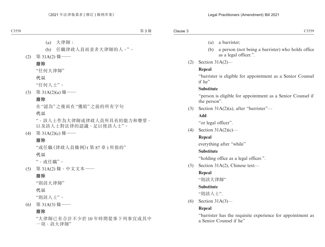- (a) a barrister;
- (b) a person (not being a barrister) who holds office as a legal officer.".
- (2) Section 31A(2)—

#### **Repeal**

"barrister is eligible for appointment as a Senior Counsel if he"

#### **Substitute**

"person is eligible for appointment as a Senior Counsel if the person".

(3) Section 31A(2)(a), after "barrister"—

#### **Add**

"or legal officer".

(4) Section 31A(2)(c)—

#### **Repeal**

everything after "while"

#### **Substitute**

"holding office as a legal officer.".

(5) Section 31A(2), Chinese text—

#### **Repeal**

"則該大律師"

#### **Substitute**

"則該人士".

(6) Section 31A(3)—

#### **Repeal**

"barrister has the requisite experience for appointment as a Senior Counsel if he"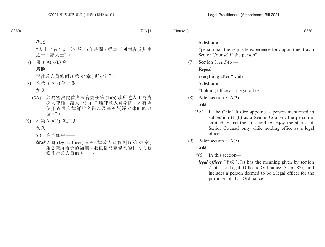#### **Substitute**

"person has the requisite experience for appointment as a Senior Counsel if the person".

 $(7)$  Section 31A(3)(b)—

#### **Repeal**

everything after "while"

#### **Substitute**

"holding office as a legal officer.".

(8) After section 31A(3)—

#### **Add**

- "(3A) If the Chief Justice appoints a person mentioned in subsection (1)(b) as a Senior Counsel, the person is entitled to use the title, and to enjoy the status, of Senior Counsel only while holding office as a legal officer.".
- (9) After section 31A(5)—

#### **Add**

- "(6) In this section
	- *legal officer* (律政人員) has the meaning given by section 2 of the Legal Officers Ordinance (Cap. 87), and includes a person deemed to be a legal officer for the purposes of that Ordinance.".